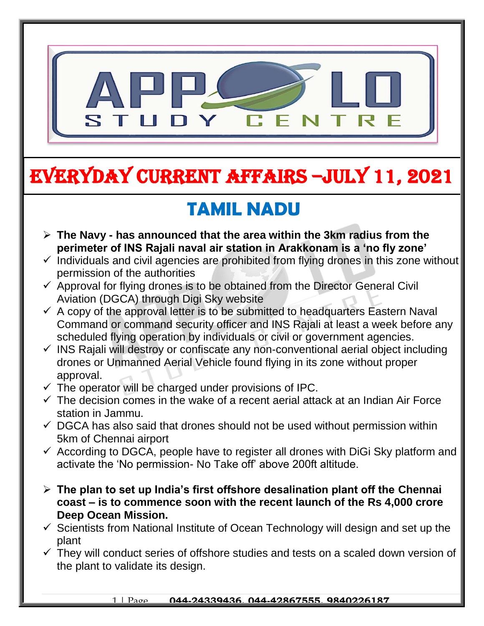

# EVERYDAY CURRENT AFFAIRS –jULY 11, 2021

## **TAMIL NADU**

- **The Navy - has announced that the area within the 3km radius from the perimeter of INS Rajali naval air station in Arakkonam is a 'no fly zone'**
- $\checkmark$  Individuals and civil agencies are prohibited from flying drones in this zone without permission of the authorities
- $\checkmark$  Approval for flying drones is to be obtained from the Director General Civil Aviation (DGCA) through Digi Sky website
- $\checkmark$  A copy of the approval letter is to be submitted to headquarters Eastern Naval Command or command security officer and INS Rajali at least a week before any scheduled flying operation by individuals or civil or government agencies.
- $\checkmark$  INS Rajali will destroy or confiscate any non-conventional aerial object including drones or Unmanned Aerial Vehicle found flying in its zone without proper approval.
- $\checkmark$  The operator will be charged under provisions of IPC.

-

- $\checkmark$  The decision comes in the wake of a recent aerial attack at an Indian Air Force station in Jammu.
- $\checkmark$  DGCA has also said that drones should not be used without permission within 5km of Chennai airport
- $\checkmark$  According to DGCA, people have to register all drones with DiGi Sky platform and activate the 'No permission- No Take off' above 200ft altitude.
- **The plan to set up India's first offshore desalination plant off the Chennai coast – is to commence soon with the recent launch of the Rs 4,000 crore Deep Ocean Mission.**
- $\checkmark$  Scientists from National Institute of Ocean Technology will design and set up the plant
- $\checkmark$  They will conduct series of offshore studies and tests on a scaled down version of the plant to validate its design.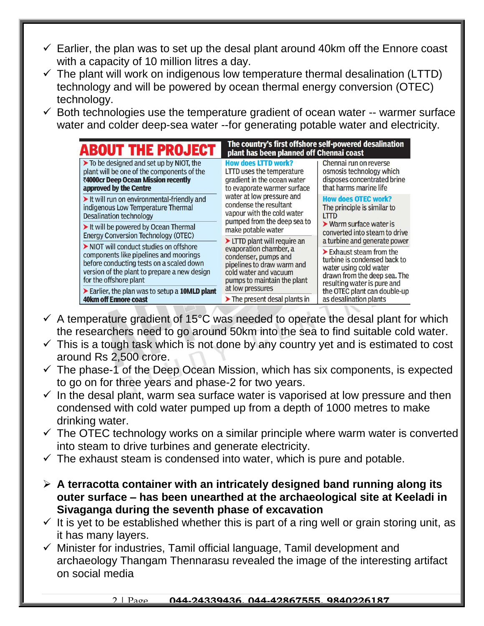- $\checkmark$  Earlier, the plan was to set up the desal plant around 40km off the Ennore coast with a capacity of 10 million litres a day.
- $\checkmark$  The plant will work on indigenous low temperature thermal desalination (LTTD) technology and will be powered by ocean thermal energy conversion (OTEC) technology.
- $\checkmark$  Both technologies use the temperature gradient of ocean water -- warmer surface water and colder deep-sea water --for generating potable water and electricity.

| <b>ABOUT THE PROJECT</b>                                                                                                                                                                              | The country's first offshore self-powered desalination<br>plant has been planned off Chennai coast                                                                                                                                                                                                                                                                                                                                                                                                                                          |                                                                                                                                                                                                                                 |
|-------------------------------------------------------------------------------------------------------------------------------------------------------------------------------------------------------|---------------------------------------------------------------------------------------------------------------------------------------------------------------------------------------------------------------------------------------------------------------------------------------------------------------------------------------------------------------------------------------------------------------------------------------------------------------------------------------------------------------------------------------------|---------------------------------------------------------------------------------------------------------------------------------------------------------------------------------------------------------------------------------|
| $\triangleright$ To be designed and set up by NIOT, the<br>plant will be one of the components of the<br>₹4000cr Deep Ocean Mission recently<br>approved by the Centre                                | <b>How does LTTD work?</b><br><b>LTTD</b> uses the temperature<br>gradient in the ocean water<br>to evaporate warmer surface<br>water at low pressure and<br>condense the resultant<br>vapour with the cold water<br>pumped from the deep sea to<br>make potable water<br>$\blacktriangleright$ LTTD plant will require an<br>evaporation chamber, a<br>condenser, pumps and<br>pipelines to draw warm and<br>cold water and vacuum<br>pumps to maintain the plant<br>at low pressures<br>$\blacktriangleright$ The present desal plants in | Chennai run on reverse<br>osmosis technology which<br>disposes concentrated brine<br>that harms marine life                                                                                                                     |
| It will run on environmental-friendly and<br>indigenous Low Temperature Thermal<br><b>Desalination technology</b>                                                                                     |                                                                                                                                                                                                                                                                                                                                                                                                                                                                                                                                             | <b>How does OTEC work?</b><br>The principle is similar to<br>LTTD<br>$\triangleright$ Warm surface water is<br>converted into steam to drive<br>a turbine and generate power                                                    |
| It will be powered by Ocean Thermal<br><b>Energy Conversion Technology (OTEC)</b>                                                                                                                     |                                                                                                                                                                                                                                                                                                                                                                                                                                                                                                                                             |                                                                                                                                                                                                                                 |
| NIOT will conduct studies on offshore<br>components like pipelines and moorings<br>before conducting tests on a scaled down<br>version of the plant to prepare a new design<br>for the offshore plant |                                                                                                                                                                                                                                                                                                                                                                                                                                                                                                                                             | $\blacktriangleright$ Exhaust steam from the<br>turbine is condensed back to<br>water using cold water<br>drawn from the deep sea. The<br>resulting water is pure and<br>the OTEC plant can double-up<br>as desalination plants |
| Earlier, the plan was to setup a 10MLD plant<br><b>40km off Ennore coast</b>                                                                                                                          |                                                                                                                                                                                                                                                                                                                                                                                                                                                                                                                                             |                                                                                                                                                                                                                                 |

- $\checkmark$  A temperature gradient of 15°C was needed to operate the desal plant for which the researchers need to go around 50km into the sea to find suitable cold water.
- $\checkmark$  This is a tough task which is not done by any country yet and is estimated to cost around Rs 2,500 crore.
- $\checkmark$  The phase-1 of the Deep Ocean Mission, which has six components, is expected to go on for three years and phase-2 for two years.
- $\checkmark$  In the desal plant, warm sea surface water is vaporised at low pressure and then condensed with cold water pumped up from a depth of 1000 metres to make drinking water.
- $\checkmark$  The OTEC technology works on a similar principle where warm water is converted into steam to drive turbines and generate electricity.
- $\checkmark$  The exhaust steam is condensed into water, which is pure and potable.
- **A terracotta container with an intricately designed band running along its outer surface – has been unearthed at the archaeological site at Keeladi in Sivaganga during the seventh phase of excavation**
- $\checkmark$  It is yet to be established whether this is part of a ring well or grain storing unit, as it has many layers.
- $\checkmark$  Minister for industries, Tamil official language, Tamil development and archaeology Thangam Thennarasu revealed the image of the interesting artifact on social media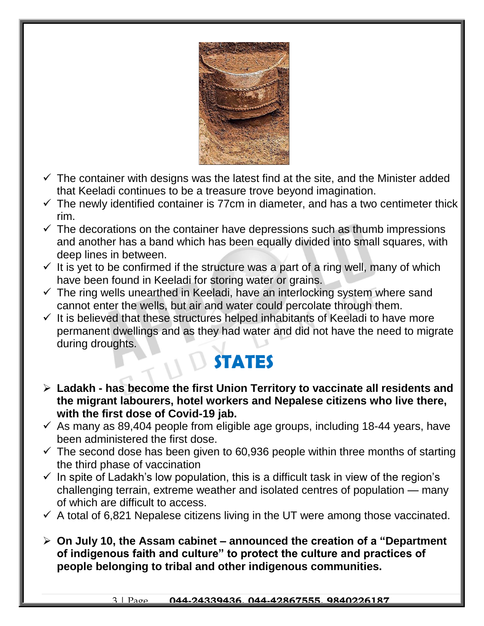

- $\checkmark$  The container with designs was the latest find at the site, and the Minister added that Keeladi continues to be a treasure trove beyond imagination.
- $\checkmark$  The newly identified container is 77cm in diameter, and has a two centimeter thick rim.
- $\checkmark$  The decorations on the container have depressions such as thumb impressions and another has a band which has been equally divided into small squares, with deep lines in between.
- $\checkmark$  It is yet to be confirmed if the structure was a part of a ring well, many of which have been found in Keeladi for storing water or grains.
- $\checkmark$  The ring wells unearthed in Keeladi, have an interlocking system where sand cannot enter the wells, but air and water could percolate through them.
- $\checkmark$  It is believed that these structures helped inhabitants of Keeladi to have more permanent dwellings and as they had water and did not have the need to migrate during droughts.

### **STATES**

- **Ladakh - has become the first Union Territory to vaccinate all residents and the migrant labourers, hotel workers and Nepalese citizens who live there, with the first dose of Covid-19 jab.**
- $\checkmark$  As many as 89,404 people from eligible age groups, including 18-44 years, have been administered the first dose.
- $\checkmark$  The second dose has been given to 60,936 people within three months of starting the third phase of vaccination
- $\checkmark$  In spite of Ladakh's low population, this is a difficult task in view of the region's challenging terrain, extreme weather and isolated centres of population — many of which are difficult to access.
- $\checkmark$  A total of 6,821 Nepalese citizens living in the UT were among those vaccinated.
- **On July 10, the Assam cabinet – announced the creation of a "Department of indigenous faith and culture" to protect the culture and practices of people belonging to tribal and other indigenous communities.**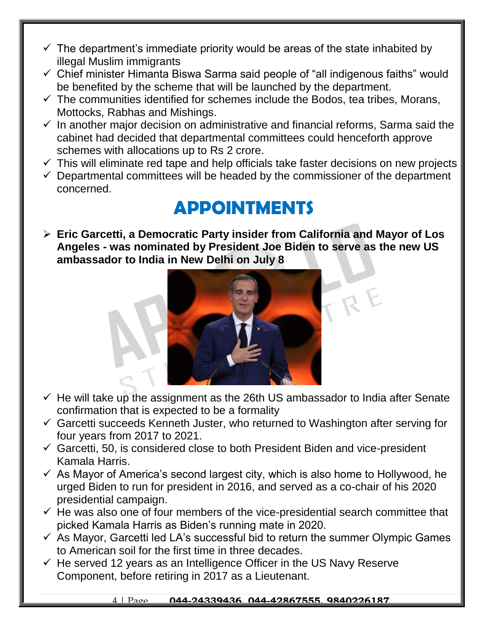- $\checkmark$  The department's immediate priority would be areas of the state inhabited by illegal Muslim immigrants
- $\checkmark$  Chief minister Himanta Biswa Sarma said people of "all indigenous faiths" would be benefited by the scheme that will be launched by the department.
- $\checkmark$  The communities identified for schemes include the Bodos, tea tribes, Morans, Mottocks, Rabhas and Mishings.
- $\checkmark$  In another major decision on administrative and financial reforms, Sarma said the cabinet had decided that departmental committees could henceforth approve schemes with allocations up to Rs 2 crore.
- $\checkmark$  This will eliminate red tape and help officials take faster decisions on new projects
- $\checkmark$  Departmental committees will be headed by the commissioner of the department concerned.

## **APPOINTMENTS**

 **Eric Garcetti, a Democratic Party insider from California and Mayor of Los Angeles - was nominated by President Joe Biden to serve as the new US ambassador to India in New Delhi on July 8**



- $\checkmark$  He will take up the assignment as the 26th US ambassador to India after Senate confirmation that is expected to be a formality
- $\checkmark$  Garcetti succeeds Kenneth Juster, who returned to Washington after serving for four years from 2017 to 2021.
- $\checkmark$  Garcetti, 50, is considered close to both President Biden and vice-president Kamala Harris.
- $\checkmark$  As Mayor of America's second largest city, which is also home to Hollywood, he urged Biden to run for president in 2016, and served as a co-chair of his 2020 presidential campaign.
- $\checkmark$  He was also one of four members of the vice-presidential search committee that picked Kamala Harris as Biden's running mate in 2020.
- $\checkmark$  As Mayor, Garcetti led LA's successful bid to return the summer Olympic Games to American soil for the first time in three decades.
- $\checkmark$  He served 12 years as an Intelligence Officer in the US Navy Reserve Component, before retiring in 2017 as a Lieutenant.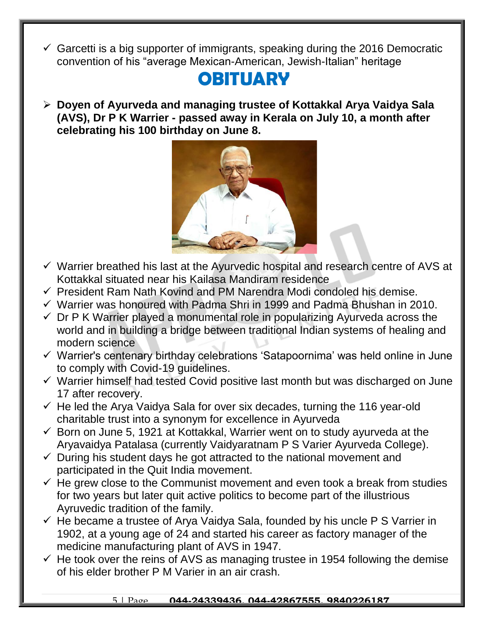$\checkmark$  Garcetti is a big supporter of immigrants, speaking during the 2016 Democratic convention of his "average Mexican-American, Jewish-Italian" heritage

#### **OBITUARY**

 **Doyen of Ayurveda and managing trustee of Kottakkal Arya Vaidya Sala (AVS), Dr P K Warrier - passed away in Kerala on July 10, a month after celebrating his 100 birthday on June 8.** 



- $\checkmark$  Warrier breathed his last at the Ayurvedic hospital and research centre of AVS at Kottakkal situated near his Kailasa Mandiram residence
- $\checkmark$  President Ram Nath Kovind and PM Narendra Modi condoled his demise.
- $\checkmark$  Warrier was honoured with Padma Shri in 1999 and Padma Bhushan in 2010.
- $\checkmark$  Dr P K Warrier played a monumental role in popularizing Ayurveda across the world and in building a bridge between traditional Indian systems of healing and modern science
- $\checkmark$  Warrier's centenary birthday celebrations 'Satapoornima' was held online in June to comply with Covid-19 guidelines.
- $\checkmark$  Warrier himself had tested Covid positive last month but was discharged on June 17 after recovery.
- $\checkmark$  He led the Arya Vaidya Sala for over six decades, turning the 116 year-old charitable trust into a synonym for excellence in Ayurveda
- $\checkmark$  Born on June 5, 1921 at Kottakkal, Warrier went on to study ayurveda at the Aryavaidya Patalasa (currently Vaidyaratnam P S Varier Ayurveda College).
- $\checkmark$  During his student days he got attracted to the national movement and participated in the Quit India movement.
- $\checkmark$  He grew close to the Communist movement and even took a break from studies for two years but later quit active politics to become part of the illustrious Ayruvedic tradition of the family.
- $\checkmark$  He became a trustee of Arya Vaidya Sala, founded by his uncle P S Varrier in 1902, at a young age of 24 and started his career as factory manager of the medicine manufacturing plant of AVS in 1947.
- $\checkmark$  He took over the reins of AVS as managing trustee in 1954 following the demise of his elder brother P M Varier in an air crash.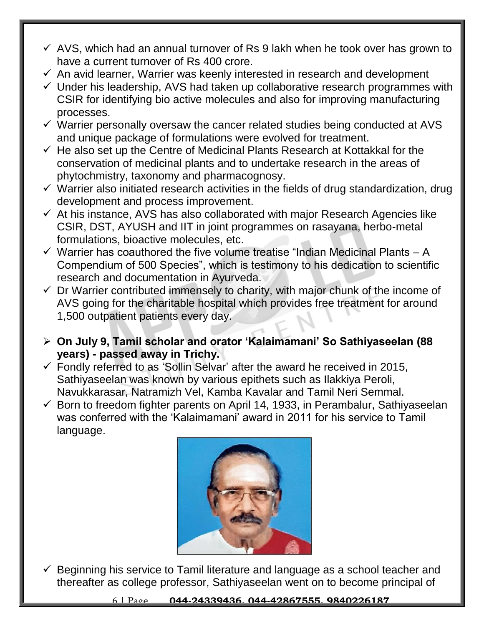- $\checkmark$  AVS, which had an annual turnover of Rs 9 lakh when he took over has grown to have a current turnover of Rs 400 crore.
- $\checkmark$  An avid learner, Warrier was keenly interested in research and development
- $\checkmark$  Under his leadership, AVS had taken up collaborative research programmes with CSIR for identifying bio active molecules and also for improving manufacturing processes.
- $\checkmark$  Warrier personally oversaw the cancer related studies being conducted at AVS and unique package of formulations were evolved for treatment.
- $\checkmark$  He also set up the Centre of Medicinal Plants Research at Kottakkal for the conservation of medicinal plants and to undertake research in the areas of phytochmistry, taxonomy and pharmacognosy.
- $\checkmark$  Warrier also initiated research activities in the fields of drug standardization, drug development and process improvement.
- $\checkmark$  At his instance, AVS has also collaborated with major Research Agencies like CSIR, DST, AYUSH and IIT in joint programmes on rasayana, herbo-metal formulations, bioactive molecules, etc.
- $\checkmark$  Warrier has coauthored the five volume treatise "Indian Medicinal Plants A Compendium of 500 Species", which is testimony to his dedication to scientific research and documentation in Ayurveda.
- $\checkmark$  Dr Warrier contributed immensely to charity, with major chunk of the income of AVS going for the charitable hospital which provides free treatment for around 1,500 outpatient patients every day.
- **On July 9, Tamil scholar and orator 'Kalaimamani' So Sathiyaseelan (88 years) - passed away in Trichy.**
- $\checkmark$  Fondly referred to as 'Sollin Selvar' after the award he received in 2015, Sathiyaseelan was known by various epithets such as Ilakkiya Peroli, Navukkarasar, Natramizh Vel, Kamba Kavalar and Tamil Neri Semmal.
- $\checkmark$  Born to freedom fighter parents on April 14, 1933, in Perambalur, Sathiyaseelan was conferred with the 'Kalaimamani' award in 2011 for his service to Tamil language.



 $\checkmark$  Beginning his service to Tamil literature and language as a school teacher and thereafter as college professor, Sathiyaseelan went on to become principal of